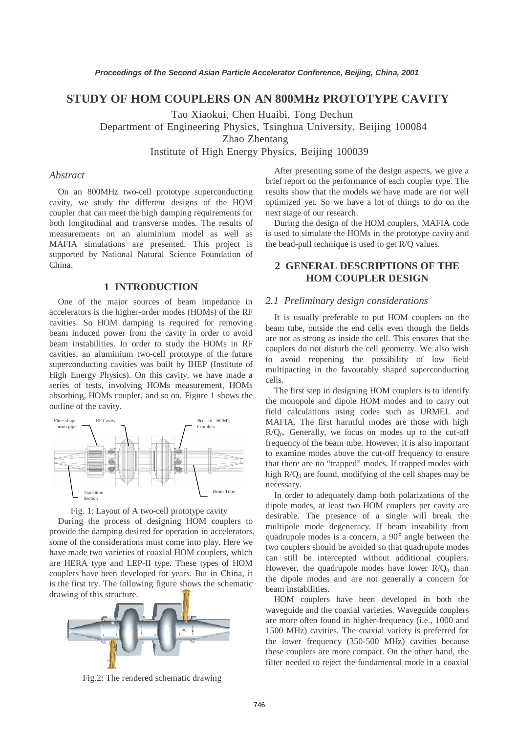# **STUDY OF HOM COUPLERS ON AN 800MHz PROTOTYPE CAVITY**

Tao Xiaokui, Chen Huaibi, Tong Dechun

Department of Engineering Physics, Tsinghua University, Beijing 100084

Zhao Zhentang

Institute of High Energy Physics, Beijing 100039

### *Abstract*

On an 800MHz two-cell prototype superconducting cavity, we study the different designs of the HOM coupler that can meet the high damping requirements for both longitudinal and transverse modes. The results of measurements on an aluminium model as well as MAFIA simulations are presented. This project is supported by National Natural Science Foundation of China.

# **1 INTRODUCTION**

One of the major sources of beam impedance in accelerators is the higher-order modes (HOMs) of the RF cavities. So HOM damping is required for removing beam induced power from the cavity in order to avoid beam instabilities. In order to study the HOMs in RF cavities, an aluminium two-cell prototype of the future superconducting cavities was built by IHEP (Institute of High Energy Physics). On this cavity, we have made a series of tests, involving HOMs measurement, HOMs absorbing, HOMs coupler, and so on. Figure 1 shows the outline of the cavity.





During the process of designing HOM couplers to provide the damping desired for operation in accelerators, some of the considerations must come into play. Here we have made two varieties of coaxial HOM couplers, which are HERA type and LEP-II type. These types of HOM couplers have been developed for years. But in China, it is the first try. The following figure shows the schematic drawing of this structure.



Fig.2: The rendered schematic drawing

After presenting some of the design aspects, we give a brief report on the performance of each coupler type. The results show that the models we have made are not well optimized yet. So we have a lot of things to do on the next stage of our research.

During the design of the HOM couplers, MAFIA code is used to simulate the HOMs in the prototype cavity and the bead-pull technique is used to get R/Q values.

# **2 GENERAL DESCRIPTIONS OF THE HOM COUPLER DESIGN**

### *2.1 Preliminary design considerations*

It is usually preferable to put HOM couplers on the beam tube, outside the end cells even though the fields are not as strong as inside the cell. This ensures that the couplers do not disturb the cell geometry. We also wish to avoid reopening the possibility of low field multipacting in the favourably shaped superconducting cells.

The first step in designing HOM couplers is to identify the monopole and dipole HOM modes and to carry out field calculations using codes such as URMEL and MAFIA. The first harmful modes are those with high  $R/Q<sub>0</sub>$ . Generally, we focus on modes up to the cut-off frequency of the beam tube. However, it is also important to examine modes above the cut-off frequency to ensure that there are no "trapped" modes. If trapped modes with high  $R/Q_0$  are found, modifying of the cell shapes may be necessary.

In order to adequately damp both polarizations of the dipole modes, at least two HOM couplers per cavity are desirable. The presence of a single will break the multipole mode degeneracy. If beam instability from quadrupole modes is a concern, a 90° angle between the two couplers should be avoided so that quadrupole modes can still be intercepted without additional couplers. However, the quadrupole modes have lower  $R/Q_0$  than the dipole modes and are not generally a concern for beam instabilities.

HOM couplers have been developed in both the waveguide and the coaxial varieties. Waveguide couplers are more often found in higher-frequency (i.e., 1000 and 1500 MHz) cavities. The coaxial variety is preferred for the lower frequency (350-500 MHz) cavities because these couplers are more compact. On the other hand, the filter needed to reject the fundamental mode in a coaxial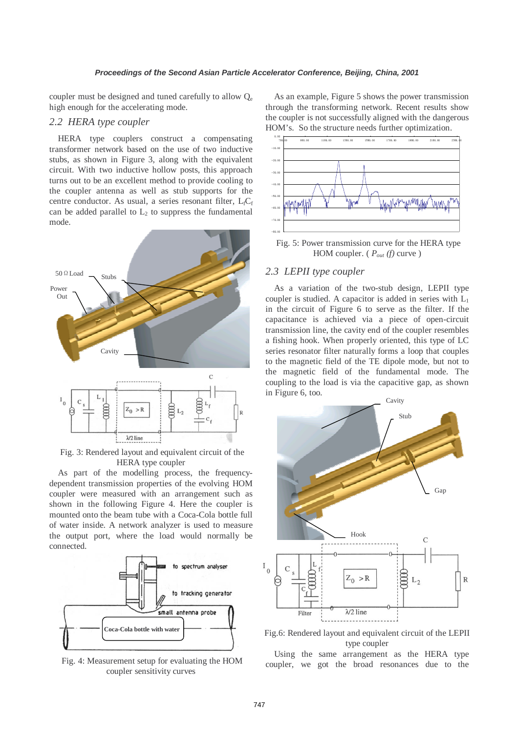coupler must be designed and tuned carefully to allow  $Q_e$ high enough for the accelerating mode.

# *2.2 HERA type coupler*

HERA type couplers construct a compensating transformer network based on the use of two inductive stubs, as shown in Figure 3, along with the equivalent circuit. With two inductive hollow posts, this approach turns out to be an excellent method to provide cooling to the coupler antenna as well as stub supports for the centre conductor. As usual, a series resonant filter,  $L_fC_f$ can be added parallel to  $L_2$  to suppress the fundamental mode.



Fig. 3: Rendered layout and equivalent circuit of the HERA type coupler

As part of the modelling process, the frequencydependent transmission properties of the evolving HOM coupler were measured with an arrangement such as shown in the following Figure 4. Here the coupler is mounted onto the beam tube with a Coca-Cola bottle full of water inside. A network analyzer is used to measure the output port, where the load would normally be connected.



Fig. 4: Measurement setup for evaluating the HOM coupler sensitivity curves

As an example, Figure 5 shows the power transmission through the transforming network. Recent results show the coupler is not successfully aligned with the dangerous HOM's. So the structure needs further optimization.



Fig. 5: Power transmission curve for the HERA type HOM coupler. ( *Pout (f)* curve )

### *2.3 LEPII type coupler*

As a variation of the two-stub design, LEPII type coupler is studied. A capacitor is added in series with  $L_1$ in the circuit of Figure 6 to serve as the filter. If the capacitance is achieved via a piece of open-circuit transmission line, the cavity end of the coupler resembles a fishing hook. When properly oriented, this type of LC series resonator filter naturally forms a loop that couples to the magnetic field of the TE dipole mode, but not to the magnetic field of the fundamental mode. The coupling to the load is via the capacitive gap, as shown in Figure 6, too.



Fig.6: Rendered layout and equivalent circuit of the LEPII type coupler

Using the same arrangement as the HERA type coupler, we got the broad resonances due to the